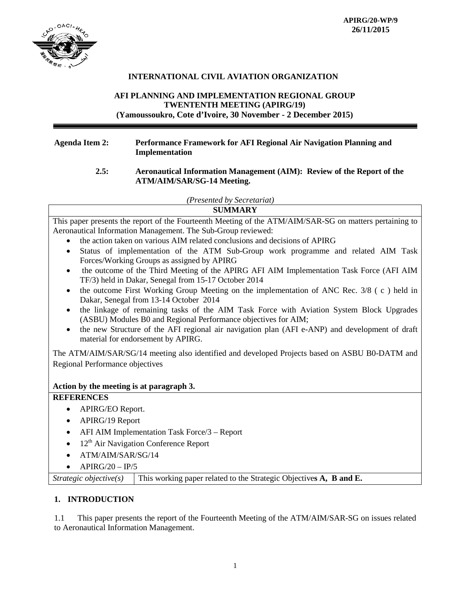

## **INTERNATIONAL CIVIL AVIATION ORGANIZATION**

## **AFI PLANNING AND IMPLEMENTATION REGIONAL GROUP TWENTENTH MEETING (APIRG/19) (Yamoussoukro, Cote d'Ivoire, 30 November - 2 December 2015)**

#### **Agenda Item 2: Performance Framework for AFI Regional Air Navigation Planning and Implementation**

#### **2.5: Aeronautical Information Management (AIM): Review of the Report of the ATM/AIM/SAR/SG-14 Meeting.**

*(Presented by Secretariat)*

| <b>SUMMARY</b>                                                                                                                                                          |  |  |  |
|-------------------------------------------------------------------------------------------------------------------------------------------------------------------------|--|--|--|
| This paper presents the report of the Fourteenth Meeting of the ATM/AIM/SAR-SG on matters pertaining to<br>Aeronautical Information Management. The Sub-Group reviewed: |  |  |  |
| the action taken on various AIM related conclusions and decisions of APIRG                                                                                              |  |  |  |
| Status of implementation of the ATM Sub-Group work programme and related AIM Task<br>$\bullet$<br>Forces/Working Groups as assigned by APIRG                            |  |  |  |
| the outcome of the Third Meeting of the APIRG AFI AIM Implementation Task Force (AFI AIM<br>TF/3) held in Dakar, Senegal from 15-17 October 2014                        |  |  |  |
| the outcome First Working Group Meeting on the implementation of ANC Rec. 3/8 (c) held in<br>$\bullet$<br>Dakar, Senegal from 13-14 October 2014                        |  |  |  |
| the linkage of remaining tasks of the AIM Task Force with Aviation System Block Upgrades<br>(ASBU) Modules B0 and Regional Performance objectives for AIM;              |  |  |  |
| the new Structure of the AFI regional air navigation plan (AFI e-ANP) and development of draft<br>$\bullet$<br>material for endorsement by APIRG.                       |  |  |  |
| The ATM/AIM/SAR/SG/14 meeting also identified and developed Projects based on ASBU B0-DATM and                                                                          |  |  |  |
| Regional Performance objectives                                                                                                                                         |  |  |  |
|                                                                                                                                                                         |  |  |  |
| Action by the meeting is at paragraph 3.                                                                                                                                |  |  |  |
| <b>REFERENCES</b>                                                                                                                                                       |  |  |  |
| APIRG/EO Report.<br>٠                                                                                                                                                   |  |  |  |
| APIRG/19 Report<br>$\bullet$                                                                                                                                            |  |  |  |
| AFI AIM Implementation Task Force/3 - Report<br>$\bullet$                                                                                                               |  |  |  |
| 12 <sup>th</sup> Air Navigation Conference Report<br>$\bullet$                                                                                                          |  |  |  |
| ATM/AIM/SAR/SG/14                                                                                                                                                       |  |  |  |
| $APIRG/20 - IP/5$                                                                                                                                                       |  |  |  |

#### *Strategic objective(s)* This working paper related to the Strategic Objective**s A, B and E.**

## **1. INTRODUCTION**

1.1 This paper presents the report of the Fourteenth Meeting of the ATM/AIM/SAR-SG on issues related to Aeronautical Information Management.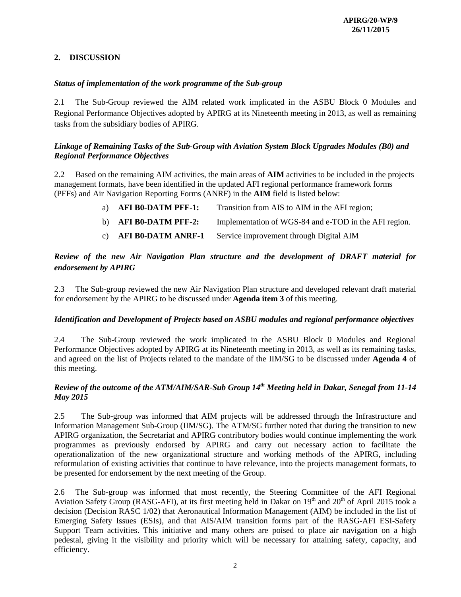## **2. DISCUSSION**

## *Status of implementation of the work programme of the Sub-group*

2.1 The Sub-Group reviewed the AIM related work implicated in the ASBU Block 0 Modules and Regional Performance Objectives adopted by APIRG at its Nineteenth meeting in 2013, as well as remaining tasks from the subsidiary bodies of APIRG.

### *Linkage of Remaining Tasks of the Sub-Group with Aviation System Block Upgrades Modules (B0) and Regional Performance Objectives*

2.2 Based on the remaining AIM activities, the main areas of **AIM** activities to be included in the projects management formats, have been identified in the updated AFI regional performance framework forms (PFFs) and Air Navigation Reporting Forms (ANRF) in the **AIM** field is listed below:

| a) AFI B0-DATM PFF-1: | Transition from AIS to AIM in the AFI region;         |
|-----------------------|-------------------------------------------------------|
| b) AFI B0-DATM PFF-2: | Implementation of WGS-84 and e-TOD in the AFI region. |
| c) AFI B0-DATM ANRF-1 | Service improvement through Digital AIM               |

## *Review of the new Air Navigation Plan structure and the development of DRAFT material for endorsement by APIRG*

2.3 The Sub-group reviewed the new Air Navigation Plan structure and developed relevant draft material for endorsement by the APIRG to be discussed under **Agenda item 3** of this meeting.

#### *Identification and Development of Projects based on ASBU modules and regional performance objectives*

2.4 The Sub-Group reviewed the work implicated in the ASBU Block 0 Modules and Regional Performance Objectives adopted by APIRG at its Nineteenth meeting in 2013, as well as its remaining tasks, and agreed on the list of Projects related to the mandate of the IIM/SG to be discussed under **Agenda 4** of this meeting.

## *Review of the outcome of the ATM/AIM/SAR-Sub Group 14th Meeting held in Dakar, Senegal from 11-14 May 2015*

2.5 The Sub-group was informed that AIM projects will be addressed through the Infrastructure and Information Management Sub-Group (IIM/SG). The ATM/SG further noted that during the transition to new APIRG organization, the Secretariat and APIRG contributory bodies would continue implementing the work programmes as previously endorsed by APIRG and carry out necessary action to facilitate the operationalization of the new organizational structure and working methods of the APIRG, including reformulation of existing activities that continue to have relevance, into the projects management formats, to be presented for endorsement by the next meeting of the Group.

2.6 The Sub-group was informed that most recently, the Steering Committee of the AFI Regional Aviation Safety Group (RASG-AFI), at its first meeting held in Dakar on  $19<sup>th</sup>$  and  $20<sup>th</sup>$  of April 2015 took a decision (Decision RASC 1/02) that Aeronautical Information Management (AIM) be included in the list of Emerging Safety Issues (ESIs), and that AIS/AIM transition forms part of the RASG-AFI ESI-Safety Support Team activities. This initiative and many others are poised to place air navigation on a high pedestal, giving it the visibility and priority which will be necessary for attaining safety, capacity, and efficiency.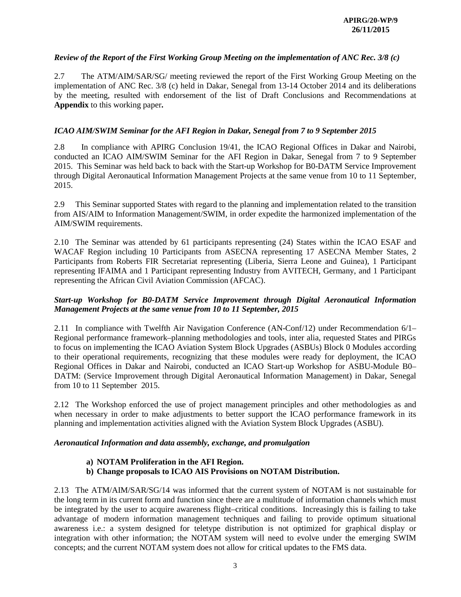#### *Review of the Report of the First Working Group Meeting on the implementation of ANC Rec. 3/8 (c)*

2.7 The ATM/AIM/SAR/SG/ meeting reviewed the report of the First Working Group Meeting on the implementation of ANC Rec. 3/8 (c) held in Dakar, Senegal from 13-14 October 2014 and its deliberations by the meeting, resulted with endorsement of the list of Draft Conclusions and Recommendations at **Appendix** to this working paper**.**

#### *ICAO AIM/SWIM Seminar for the AFI Region in Dakar, Senegal from 7 to 9 September 2015*

2.8 In compliance with APIRG Conclusion 19/41, the ICAO Regional Offices in Dakar and Nairobi, conducted an ICAO AIM/SWIM Seminar for the AFI Region in Dakar, Senegal from 7 to 9 September 2015. This Seminar was held back to back with the Start-up Workshop for B0-DATM Service Improvement through Digital Aeronautical Information Management Projects at the same venue from 10 to 11 September, 2015.

2.9 This Seminar supported States with regard to the planning and implementation related to the transition from AIS/AIM to Information Management/SWIM, in order expedite the harmonized implementation of the AIM/SWIM requirements.

2.10 The Seminar was attended by 61 participants representing (24) States within the ICAO ESAF and WACAF Region including 10 Participants from ASECNA representing 17 ASECNA Member States, 2 Participants from Roberts FIR Secretariat representing (Liberia, Sierra Leone and Guinea), 1 Participant representing IFAIMA and 1 Participant representing Industry from AVITECH, Germany, and 1 Participant representing the African Civil Aviation Commission (AFCAC).

## *Start-up Workshop for B0-DATM Service Improvement through Digital Aeronautical Information Management Projects at the same venue from 10 to 11 September, 2015*

2.11 In compliance with Twelfth Air Navigation Conference (AN-Conf/12) under Recommendation 6/1– Regional performance framework–planning methodologies and tools, inter alia, requested States and PIRGs to focus on implementing the ICAO Aviation System Block Upgrades (ASBUs) Block 0 Modules according to their operational requirements, recognizing that these modules were ready for deployment, the ICAO Regional Offices in Dakar and Nairobi, conducted an ICAO Start-up Workshop for ASBU-Module B0– DATM: (Service Improvement through Digital Aeronautical Information Management) in Dakar, Senegal from 10 to 11 September 2015.

2.12 The Workshop enforced the use of project management principles and other methodologies as and when necessary in order to make adjustments to better support the ICAO performance framework in its planning and implementation activities aligned with the Aviation System Block Upgrades (ASBU).

#### *Aeronautical Information and data assembly, exchange, and promulgation*

#### **a) NOTAM Proliferation in the AFI Region.**

**b) Change proposals to ICAO AIS Provisions on NOTAM Distribution.**

2.13 The ATM/AIM/SAR/SG/14 was informed that the current system of NOTAM is not sustainable for the long term in its current form and function since there are a multitude of information channels which must be integrated by the user to acquire awareness flight–critical conditions. Increasingly this is failing to take advantage of modern information management techniques and failing to provide optimum situational awareness i.e.: a system designed for teletype distribution is not optimized for graphical display or integration with other information; the NOTAM system will need to evolve under the emerging SWIM concepts; and the current NOTAM system does not allow for critical updates to the FMS data.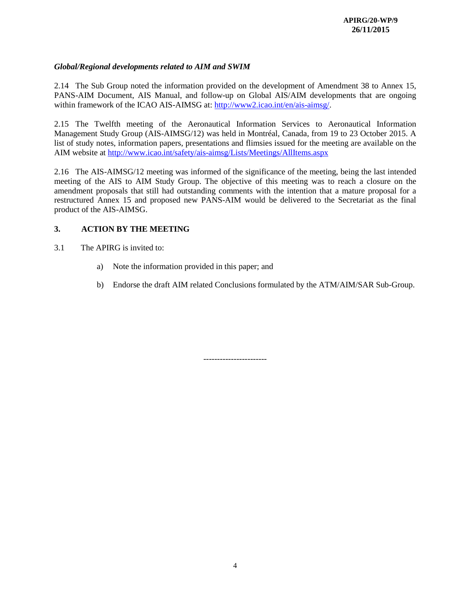### *Global/Regional developments related to AIM and SWIM*

2.14 The Sub Group noted the information provided on the development of Amendment 38 to Annex 15, PANS-AIM Document, AIS Manual, and follow-up on Global AIS/AIM developments that are ongoing within framework of the ICAO AIS-AIMSG at: [http://www2.icao.int/en/ais-aimsg/.](http://www2.icao.int/en/ais-aimsg/)

2.15 The Twelfth meeting of the Aeronautical Information Services to Aeronautical Information Management Study Group (AIS-AIMSG/12) was held in Montréal, Canada, from 19 to 23 October 2015. A list of study notes, information papers, presentations and flimsies issued for the meeting are available on the AIM website at<http://www.icao.int/safety/ais-aimsg/Lists/Meetings/AllItems.aspx>

2.16 The AIS-AIMSG/12 meeting was informed of the significance of the meeting, being the last intended meeting of the AIS to AIM Study Group. The objective of this meeting was to reach a closure on the amendment proposals that still had outstanding comments with the intention that a mature proposal for a restructured Annex 15 and proposed new PANS-AIM would be delivered to the Secretariat as the final product of the AIS-AIMSG.

#### **3. ACTION BY THE MEETING**

- 3.1 The APIRG is invited to:
	- a) Note the information provided in this paper; and
	- b) Endorse the draft AIM related Conclusions formulated by the ATM/AIM/SAR Sub-Group.

-----------------------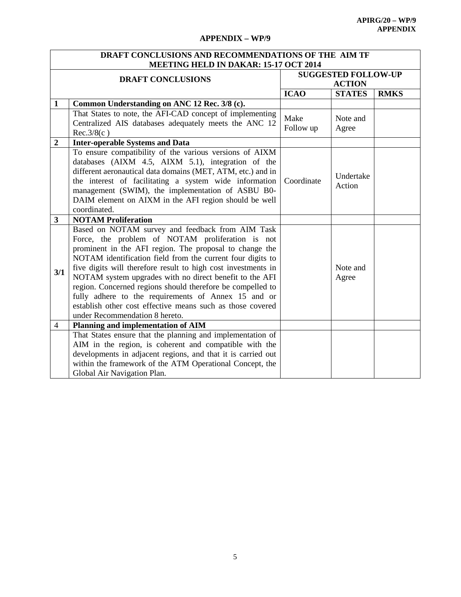## **APPENDIX – WP/9**

| DRAFT CONCLUSIONS AND RECOMMENDATIONS OF THE AIM TF |                                                               |               |                            |             |  |
|-----------------------------------------------------|---------------------------------------------------------------|---------------|----------------------------|-------------|--|
|                                                     | MEETING HELD IN DAKAR: 15-17 OCT 2014                         |               |                            |             |  |
|                                                     | <b>DRAFT CONCLUSIONS</b>                                      |               | <b>SUGGESTED FOLLOW-UP</b> |             |  |
|                                                     |                                                               | <b>ACTION</b> |                            |             |  |
|                                                     |                                                               | <b>ICAO</b>   | <b>STATES</b>              | <b>RMKS</b> |  |
| $\mathbf{1}$                                        | Common Understanding on ANC 12 Rec. 3/8 (c).                  |               |                            |             |  |
|                                                     | That States to note, the AFI-CAD concept of implementing      | Make          | Note and                   |             |  |
|                                                     | Centralized AIS databases adequately meets the ANC 12         | Follow up     | Agree                      |             |  |
|                                                     | Rec.3/8(c)                                                    |               |                            |             |  |
| $\overline{2}$                                      | <b>Inter-operable Systems and Data</b>                        |               |                            |             |  |
|                                                     | To ensure compatibility of the various versions of AIXM       |               |                            |             |  |
|                                                     | databases (AIXM 4.5, AIXM 5.1), integration of the            |               |                            |             |  |
|                                                     | different aeronautical data domains (MET, ATM, etc.) and in   |               | Undertake                  |             |  |
|                                                     | the interest of facilitating a system wide information        | Coordinate    | Action                     |             |  |
|                                                     | management (SWIM), the implementation of ASBU B0-             |               |                            |             |  |
|                                                     | DAIM element on AIXM in the AFI region should be well         |               |                            |             |  |
|                                                     | coordinated.                                                  |               |                            |             |  |
| 3                                                   | <b>NOTAM Proliferation</b>                                    |               |                            |             |  |
|                                                     | Based on NOTAM survey and feedback from AIM Task              |               |                            |             |  |
|                                                     | Force, the problem of NOTAM proliferation is not              |               |                            |             |  |
|                                                     | prominent in the AFI region. The proposal to change the       |               |                            |             |  |
|                                                     | NOTAM identification field from the current four digits to    |               |                            |             |  |
| 3/1                                                 | five digits will therefore result to high cost investments in |               | Note and                   |             |  |
|                                                     | NOTAM system upgrades with no direct benefit to the AFI       |               | Agree                      |             |  |
|                                                     | region. Concerned regions should therefore be compelled to    |               |                            |             |  |
|                                                     | fully adhere to the requirements of Annex 15 and or           |               |                            |             |  |
|                                                     | establish other cost effective means such as those covered    |               |                            |             |  |
|                                                     | under Recommendation 8 hereto.                                |               |                            |             |  |
| 4                                                   | Planning and implementation of AIM                            |               |                            |             |  |
|                                                     | That States ensure that the planning and implementation of    |               |                            |             |  |
|                                                     | AIM in the region, is coherent and compatible with the        |               |                            |             |  |
|                                                     | developments in adjacent regions, and that it is carried out  |               |                            |             |  |
|                                                     | within the framework of the ATM Operational Concept, the      |               |                            |             |  |
|                                                     | Global Air Navigation Plan.                                   |               |                            |             |  |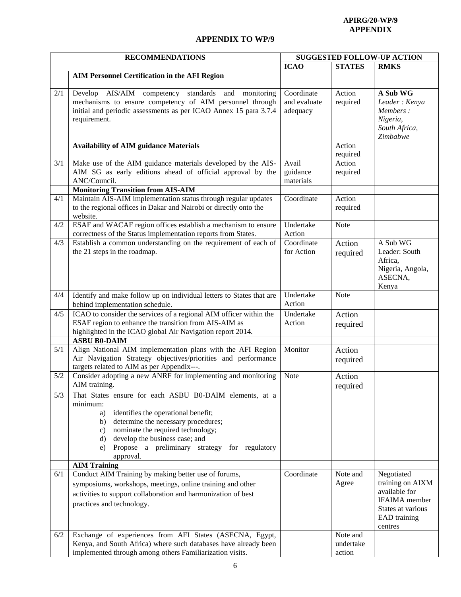#### **APIRG/20-WP/9 APPENDIX**

# **APPENDIX TO WP/9**

| <b>RECOMMENDATIONS</b> |                                                                                                                                                                                                                                                                                                                      | <b>SUGGESTED FOLLOW-UP ACTION</b>      |                                 |                                                                                                                         |
|------------------------|----------------------------------------------------------------------------------------------------------------------------------------------------------------------------------------------------------------------------------------------------------------------------------------------------------------------|----------------------------------------|---------------------------------|-------------------------------------------------------------------------------------------------------------------------|
|                        |                                                                                                                                                                                                                                                                                                                      | <b>ICAO</b>                            | <b>STATES</b>                   | <b>RMKS</b>                                                                                                             |
|                        | <b>AIM Personnel Certification in the AFI Region</b>                                                                                                                                                                                                                                                                 |                                        |                                 |                                                                                                                         |
| 2/1                    | Develop AIS/AIM competency standards and monitoring<br>mechanisms to ensure competency of AIM personnel through<br>initial and periodic assessments as per ICAO Annex 15 para 3.7.4<br>requirement.                                                                                                                  | Coordinate<br>and evaluate<br>adequacy | Action<br>required              | A Sub <b>WG</b><br>Leader: Kenya<br>Members:<br>Nigeria,<br>South Africa,<br>Zimbabwe                                   |
|                        | <b>Availability of AIM guidance Materials</b>                                                                                                                                                                                                                                                                        |                                        | Action<br>required              |                                                                                                                         |
| 3/1                    | Make use of the AIM guidance materials developed by the AIS-<br>AIM SG as early editions ahead of official approval by the<br>ANC/Council.                                                                                                                                                                           | Avail<br>guidance<br>materials         | Action<br>required              |                                                                                                                         |
|                        | <b>Monitoring Transition from AIS-AIM</b>                                                                                                                                                                                                                                                                            |                                        |                                 |                                                                                                                         |
| 4/1                    | Maintain AIS-AIM implementation status through regular updates<br>to the regional offices in Dakar and Nairobi or directly onto the<br>website.                                                                                                                                                                      | Coordinate                             | Action<br>required              |                                                                                                                         |
| 4/2                    | ESAF and WACAF region offices establish a mechanism to ensure<br>correctness of the Status implementation reports from States.                                                                                                                                                                                       | Undertake<br>Action                    | Note                            |                                                                                                                         |
| 4/3                    | Establish a common understanding on the requirement of each of<br>the 21 steps in the roadmap.                                                                                                                                                                                                                       | Coordinate<br>for Action               | Action<br>required              | A Sub WG<br>Leader: South<br>Africa,<br>Nigeria, Angola,<br>ASECNA,<br>Kenya                                            |
| 4/4                    | Identify and make follow up on individual letters to States that are<br>behind implementation schedule.                                                                                                                                                                                                              | Undertake<br>Action                    | Note                            |                                                                                                                         |
| 4/5                    | ICAO to consider the services of a regional AIM officer within the<br>ESAF region to enhance the transition from AIS-AIM as<br>highlighted in the ICAO global Air Navigation report 2014.<br><b>ASBU B0-DAIM</b>                                                                                                     | Undertake<br>Action                    | Action<br>required              |                                                                                                                         |
| 5/1                    | Align National AIM implementation plans with the AFI Region<br>Air Navigation Strategy objectives/priorities and performance<br>targets related to AIM as per Appendix---.                                                                                                                                           | Monitor                                | Action<br>required              |                                                                                                                         |
| 5/2                    | Consider adopting a new ANRF for implementing and monitoring<br>AIM training.                                                                                                                                                                                                                                        | Note                                   | Action<br>required              |                                                                                                                         |
| 5/3                    | That States ensure for each ASBU B0-DAIM elements, at a<br>minimum:<br>identifies the operational benefit;<br>a)<br>determine the necessary procedures;<br>b)<br>nominate the required technology;<br>c)<br>develop the business case; and<br>d)<br>Propose a preliminary strategy for regulatory<br>e)<br>approval. |                                        |                                 |                                                                                                                         |
|                        | <b>AIM Training</b>                                                                                                                                                                                                                                                                                                  |                                        |                                 |                                                                                                                         |
| 6/1                    | Conduct AIM Training by making better use of forums,<br>symposiums, workshops, meetings, online training and other<br>activities to support collaboration and harmonization of best<br>practices and technology.                                                                                                     | Coordinate                             | Note and<br>Agree               | Negotiated<br>training on AIXM<br>available for<br><b>IFAIMA</b> member<br>States at various<br>EAD training<br>centres |
| 6/2                    | Exchange of experiences from AFI States (ASECNA, Egypt,<br>Kenya, and South Africa) where such databases have already been<br>implemented through among others Familiarization visits.                                                                                                                               |                                        | Note and<br>undertake<br>action |                                                                                                                         |